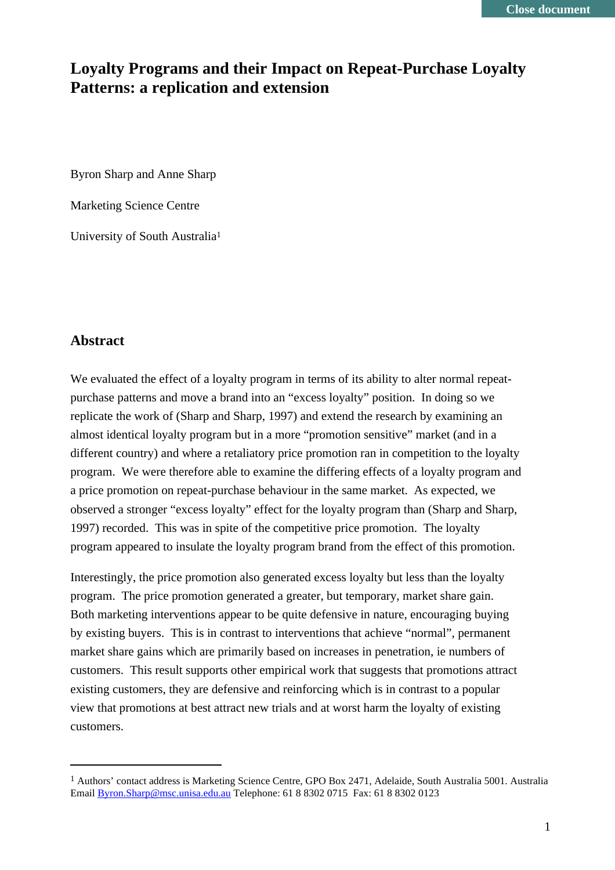## **Loyalty Programs and their Impact on Repeat-Purchase Loyalty Patterns: a replication and extension**

Byron Sharp and Anne Sharp

Marketing Science Centre

University of South Australia1

#### **Abstract**

We evaluated the effect of a loyalty program in terms of its ability to alter normal repeatpurchase patterns and move a brand into an "excess loyalty" position. In doing so we replicate the work of (Sharp and Sharp, 1997) and extend the research by examining an almost identical loyalty program but in a more "promotion sensitive" market (and in a different country) and where a retaliatory price promotion ran in competition to the loyalty program. We were therefore able to examine the differing effects of a loyalty program and a price promotion on repeat-purchase behaviour in the same market. As expected, we observed a stronger "excess loyalty" effect for the loyalty program than (Sharp and Sharp, 1997) recorded. This was in spite of the competitive price promotion. The loyalty program appeared to insulate the loyalty program brand from the effect of this promotion.

Interestingly, the price promotion also generated excess loyalty but less than the loyalty program. The price promotion generated a greater, but temporary, market share gain. Both marketing interventions appear to be quite defensive in nature, encouraging buying by existing buyers. This is in contrast to interventions that achieve "normal", permanent market share gains which are primarily based on increases in penetration, ie numbers of customers. This result supports other empirical work that suggests that promotions attract existing customers, they are defensive and reinforcing which is in contrast to a popular view that promotions at best attract new trials and at worst harm the loyalty of existing customers.

 <sup>1</sup> Authors' contact address is Marketing Science Centre, GPO Box 2471, Adelaide, South Australia 5001. Australia Email Byron.Sharp@msc.unisa.edu.au Telephone: 61 8 8302 0715 Fax: 61 8 8302 0123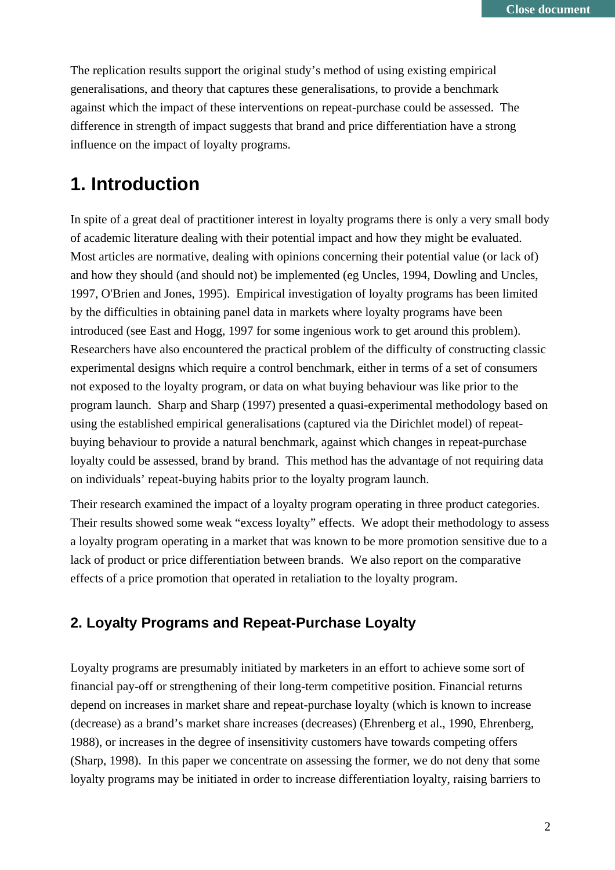The replication results support the original study's method of using existing empirical generalisations, and theory that captures these generalisations, to provide a benchmark against which the impact of these interventions on repeat-purchase could be assessed. The difference in strength of impact suggests that brand and price differentiation have a strong influence on the impact of loyalty programs.

# **1. Introduction**

In spite of a great deal of practitioner interest in loyalty programs there is only a very small body of academic literature dealing with their potential impact and how they might be evaluated. Most articles are normative, dealing with opinions concerning their potential value (or lack of) and how they should (and should not) be implemented (eg Uncles, 1994, Dowling and Uncles, 1997, O'Brien and Jones, 1995). Empirical investigation of loyalty programs has been limited by the difficulties in obtaining panel data in markets where loyalty programs have been introduced (see East and Hogg, 1997 for some ingenious work to get around this problem). Researchers have also encountered the practical problem of the difficulty of constructing classic experimental designs which require a control benchmark, either in terms of a set of consumers not exposed to the loyalty program, or data on what buying behaviour was like prior to the program launch. Sharp and Sharp (1997) presented a quasi-experimental methodology based on using the established empirical generalisations (captured via the Dirichlet model) of repeatbuying behaviour to provide a natural benchmark, against which changes in repeat-purchase loyalty could be assessed, brand by brand. This method has the advantage of not requiring data on individuals' repeat-buying habits prior to the loyalty program launch.

Their research examined the impact of a loyalty program operating in three product categories. Their results showed some weak "excess loyalty" effects. We adopt their methodology to assess a loyalty program operating in a market that was known to be more promotion sensitive due to a lack of product or price differentiation between brands. We also report on the comparative effects of a price promotion that operated in retaliation to the loyalty program.

## **2. Loyalty Programs and Repeat-Purchase Loyalty**

Loyalty programs are presumably initiated by marketers in an effort to achieve some sort of financial pay-off or strengthening of their long-term competitive position. Financial returns depend on increases in market share and repeat-purchase loyalty (which is known to increase (decrease) as a brand's market share increases (decreases) (Ehrenberg et al., 1990, Ehrenberg, 1988), or increases in the degree of insensitivity customers have towards competing offers (Sharp, 1998). In this paper we concentrate on assessing the former, we do not deny that some loyalty programs may be initiated in order to increase differentiation loyalty, raising barriers to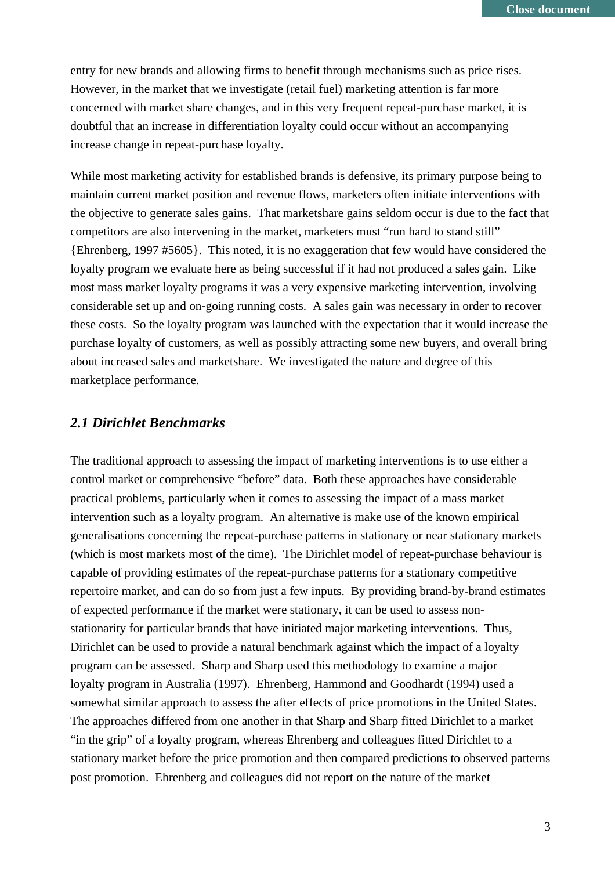entry for new brands and allowing firms to benefit through mechanisms such as price rises. However, in the market that we investigate (retail fuel) marketing attention is far more concerned with market share changes, and in this very frequent repeat-purchase market, it is doubtful that an increase in differentiation loyalty could occur without an accompanying increase change in repeat-purchase loyalty.

While most marketing activity for established brands is defensive, its primary purpose being to maintain current market position and revenue flows, marketers often initiate interventions with the objective to generate sales gains. That marketshare gains seldom occur is due to the fact that competitors are also intervening in the market, marketers must "run hard to stand still" {Ehrenberg, 1997 #5605}. This noted, it is no exaggeration that few would have considered the loyalty program we evaluate here as being successful if it had not produced a sales gain. Like most mass market loyalty programs it was a very expensive marketing intervention, involving considerable set up and on-going running costs. A sales gain was necessary in order to recover these costs. So the loyalty program was launched with the expectation that it would increase the purchase loyalty of customers, as well as possibly attracting some new buyers, and overall bring about increased sales and marketshare. We investigated the nature and degree of this marketplace performance.

#### *2.1 Dirichlet Benchmarks*

The traditional approach to assessing the impact of marketing interventions is to use either a control market or comprehensive "before" data. Both these approaches have considerable practical problems, particularly when it comes to assessing the impact of a mass market intervention such as a loyalty program. An alternative is make use of the known empirical generalisations concerning the repeat-purchase patterns in stationary or near stationary markets (which is most markets most of the time). The Dirichlet model of repeat-purchase behaviour is capable of providing estimates of the repeat-purchase patterns for a stationary competitive repertoire market, and can do so from just a few inputs. By providing brand-by-brand estimates of expected performance if the market were stationary, it can be used to assess nonstationarity for particular brands that have initiated major marketing interventions. Thus, Dirichlet can be used to provide a natural benchmark against which the impact of a loyalty program can be assessed. Sharp and Sharp used this methodology to examine a major loyalty program in Australia (1997). Ehrenberg, Hammond and Goodhardt (1994) used a somewhat similar approach to assess the after effects of price promotions in the United States. The approaches differed from one another in that Sharp and Sharp fitted Dirichlet to a market "in the grip" of a loyalty program, whereas Ehrenberg and colleagues fitted Dirichlet to a stationary market before the price promotion and then compared predictions to observed patterns post promotion. Ehrenberg and colleagues did not report on the nature of the market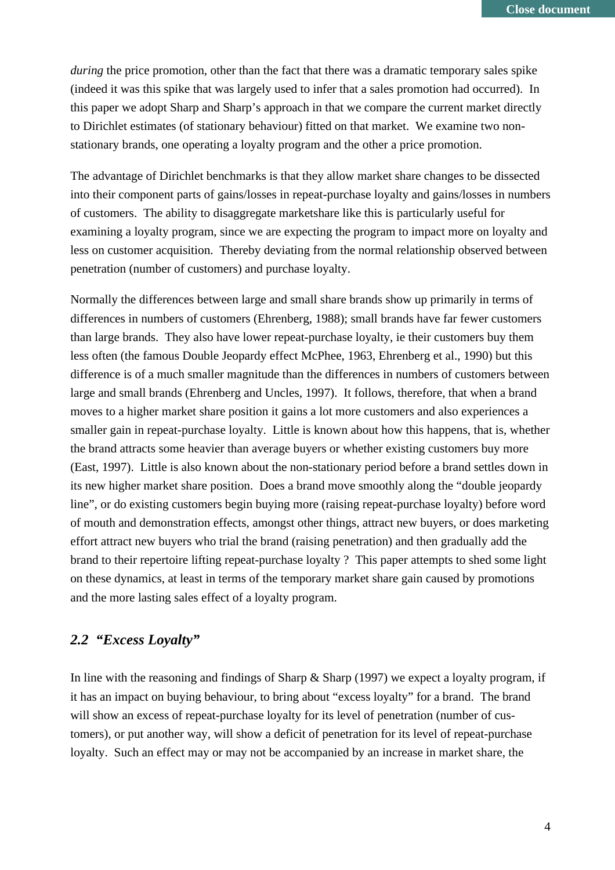*during* the price promotion, other than the fact that there was a dramatic temporary sales spike (indeed it was this spike that was largely used to infer that a sales promotion had occurred). In this paper we adopt Sharp and Sharp's approach in that we compare the current market directly to Dirichlet estimates (of stationary behaviour) fitted on that market. We examine two nonstationary brands, one operating a loyalty program and the other a price promotion.

The advantage of Dirichlet benchmarks is that they allow market share changes to be dissected into their component parts of gains/losses in repeat-purchase loyalty and gains/losses in numbers of customers. The ability to disaggregate marketshare like this is particularly useful for examining a loyalty program, since we are expecting the program to impact more on loyalty and less on customer acquisition. Thereby deviating from the normal relationship observed between penetration (number of customers) and purchase loyalty.

Normally the differences between large and small share brands show up primarily in terms of differences in numbers of customers (Ehrenberg, 1988); small brands have far fewer customers than large brands. They also have lower repeat-purchase loyalty, ie their customers buy them less often (the famous Double Jeopardy effect McPhee, 1963, Ehrenberg et al., 1990) but this difference is of a much smaller magnitude than the differences in numbers of customers between large and small brands (Ehrenberg and Uncles, 1997). It follows, therefore, that when a brand moves to a higher market share position it gains a lot more customers and also experiences a smaller gain in repeat-purchase loyalty. Little is known about how this happens, that is, whether the brand attracts some heavier than average buyers or whether existing customers buy more (East, 1997). Little is also known about the non-stationary period before a brand settles down in its new higher market share position. Does a brand move smoothly along the "double jeopardy line", or do existing customers begin buying more (raising repeat-purchase loyalty) before word of mouth and demonstration effects, amongst other things, attract new buyers, or does marketing effort attract new buyers who trial the brand (raising penetration) and then gradually add the brand to their repertoire lifting repeat-purchase loyalty ? This paper attempts to shed some light on these dynamics, at least in terms of the temporary market share gain caused by promotions and the more lasting sales effect of a loyalty program.

### *2.2 "Excess Loyalty"*

In line with the reasoning and findings of Sharp & Sharp (1997) we expect a loyalty program, if it has an impact on buying behaviour, to bring about "excess loyalty" for a brand. The brand will show an excess of repeat-purchase loyalty for its level of penetration (number of customers), or put another way, will show a deficit of penetration for its level of repeat-purchase loyalty. Such an effect may or may not be accompanied by an increase in market share, the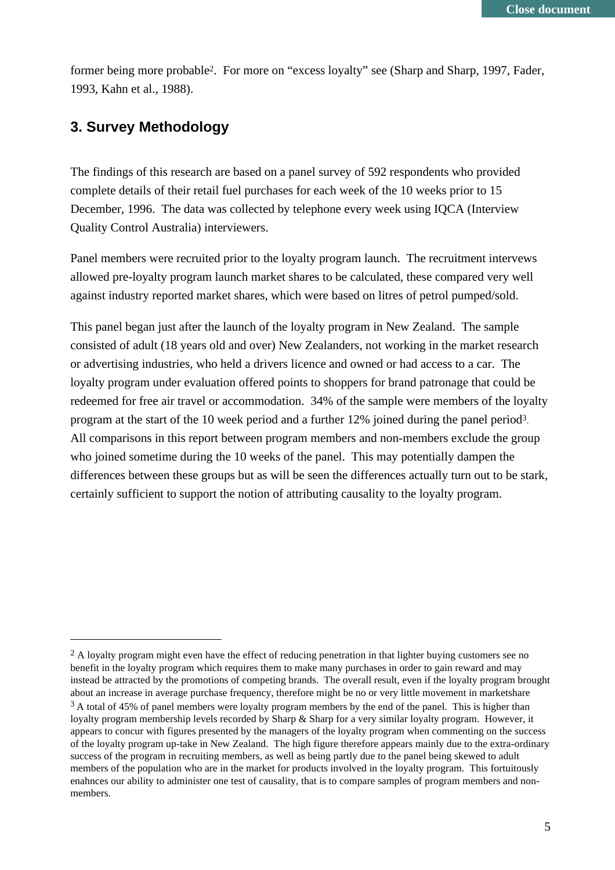former being more probable2. For more on "excess loyalty" see (Sharp and Sharp, 1997, Fader, 1993, Kahn et al., 1988).

## **3. Survey Methodology**

The findings of this research are based on a panel survey of 592 respondents who provided complete details of their retail fuel purchases for each week of the 10 weeks prior to 15 December, 1996. The data was collected by telephone every week using IQCA (Interview Quality Control Australia) interviewers.

Panel members were recruited prior to the loyalty program launch. The recruitment intervews allowed pre-loyalty program launch market shares to be calculated, these compared very well against industry reported market shares, which were based on litres of petrol pumped/sold.

This panel began just after the launch of the loyalty program in New Zealand. The sample consisted of adult (18 years old and over) New Zealanders, not working in the market research or advertising industries, who held a drivers licence and owned or had access to a car. The loyalty program under evaluation offered points to shoppers for brand patronage that could be redeemed for free air travel or accommodation. 34% of the sample were members of the loyalty program at the start of the 10 week period and a further 12% joined during the panel period3. All comparisons in this report between program members and non-members exclude the group who joined sometime during the 10 weeks of the panel. This may potentially dampen the differences between these groups but as will be seen the differences actually turn out to be stark, certainly sufficient to support the notion of attributing causality to the loyalty program.

<sup>&</sup>lt;sup>2</sup> A loyalty program might even have the effect of reducing penetration in that lighter buying customers see no benefit in the loyalty program which requires them to make many purchases in order to gain reward and may instead be attracted by the promotions of competing brands. The overall result, even if the loyalty program brought about an increase in average purchase frequency, therefore might be no or very little movement in marketshare  $3$  A total of 45% of panel members were loyalty program members by the end of the panel. This is higher than loyalty program membership levels recorded by Sharp & Sharp for a very similar loyalty program. However, it appears to concur with figures presented by the managers of the loyalty program when commenting on the success of the loyalty program up-take in New Zealand. The high figure therefore appears mainly due to the extra-ordinary success of the program in recruiting members, as well as being partly due to the panel being skewed to adult members of the population who are in the market for products involved in the loyalty program. This fortuitously enahnces our ability to administer one test of causality, that is to compare samples of program members and nonmembers.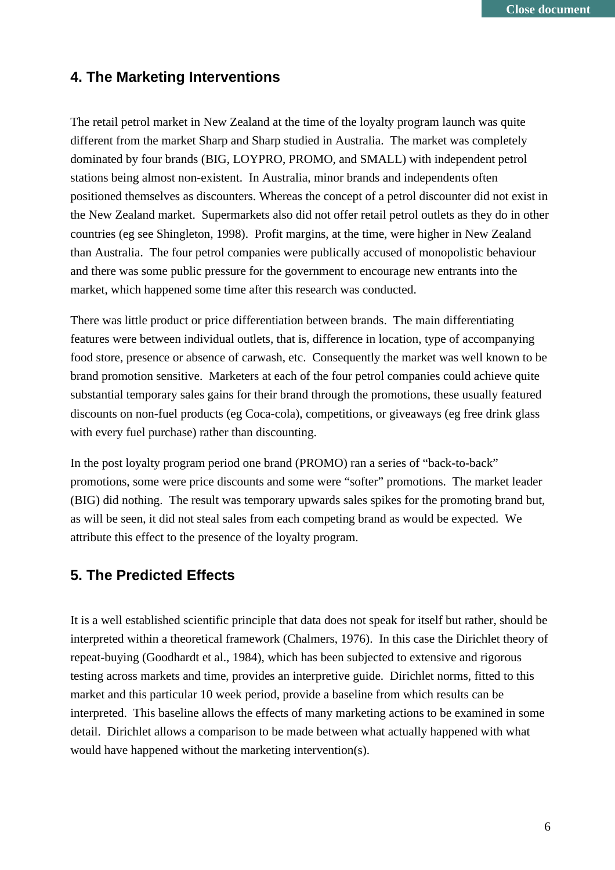## **4. The Marketing Interventions**

The retail petrol market in New Zealand at the time of the loyalty program launch was quite different from the market Sharp and Sharp studied in Australia. The market was completely dominated by four brands (BIG, LOYPRO, PROMO, and SMALL) with independent petrol stations being almost non-existent. In Australia, minor brands and independents often positioned themselves as discounters. Whereas the concept of a petrol discounter did not exist in the New Zealand market. Supermarkets also did not offer retail petrol outlets as they do in other countries (eg see Shingleton, 1998). Profit margins, at the time, were higher in New Zealand than Australia. The four petrol companies were publically accused of monopolistic behaviour and there was some public pressure for the government to encourage new entrants into the market, which happened some time after this research was conducted.

There was little product or price differentiation between brands. The main differentiating features were between individual outlets, that is, difference in location, type of accompanying food store, presence or absence of carwash, etc. Consequently the market was well known to be brand promotion sensitive. Marketers at each of the four petrol companies could achieve quite substantial temporary sales gains for their brand through the promotions, these usually featured discounts on non-fuel products (eg Coca-cola), competitions, or giveaways (eg free drink glass with every fuel purchase) rather than discounting.

In the post loyalty program period one brand (PROMO) ran a series of "back-to-back" promotions, some were price discounts and some were "softer" promotions. The market leader (BIG) did nothing. The result was temporary upwards sales spikes for the promoting brand but, as will be seen, it did not steal sales from each competing brand as would be expected. We attribute this effect to the presence of the loyalty program.

## **5. The Predicted Effects**

It is a well established scientific principle that data does not speak for itself but rather, should be interpreted within a theoretical framework (Chalmers, 1976). In this case the Dirichlet theory of repeat-buying (Goodhardt et al., 1984), which has been subjected to extensive and rigorous testing across markets and time, provides an interpretive guide. Dirichlet norms, fitted to this market and this particular 10 week period, provide a baseline from which results can be interpreted. This baseline allows the effects of many marketing actions to be examined in some detail. Dirichlet allows a comparison to be made between what actually happened with what would have happened without the marketing intervention(s).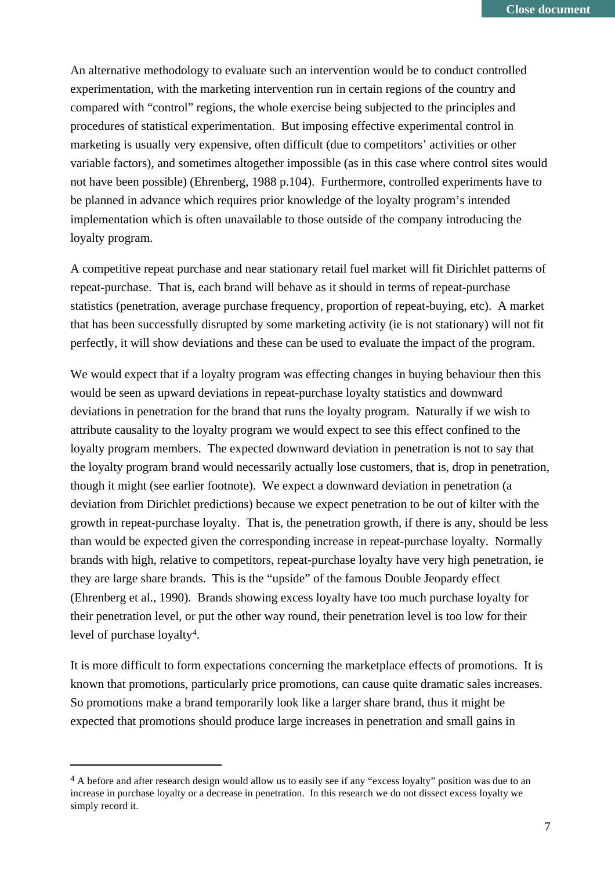An alternative methodology to evaluate such an intervention would be to conduct controlled experimentation, with the marketing intervention run in certain regions of the country and compared with "control" regions, the whole exercise being subjected to the principles and procedures of statistical experimentation. But imposing effective experimental control in marketing is usually very expensive, often difficult (due to competitors' activities or other variable factors), and sometimes altogether impossible (as in this case where control sites would not have been possible) (Ehrenberg, 1988 p.104). Furthermore, controlled experiments have to be planned in advance which requires prior knowledge of the loyalty program's intended implementation which is often unavailable to those outside of the company introducing the loyalty program.

A competitive repeat purchase and near stationary retail fuel market will fit Dirichlet patterns of repeat-purchase. That is, each brand will behave as it should in terms of repeat-purchase statistics (penetration, average purchase frequency, proportion of repeat-buying, etc). A market that has been successfully disrupted by some marketing activity (ie is not stationary) will not fit perfectly, it will show deviations and these can be used to evaluate the impact of the program.

We would expect that if a loyalty program was effecting changes in buying behaviour then this would be seen as upward deviations in repeat-purchase loyalty statistics and downward deviations in penetration for the brand that runs the loyalty program. Naturally if we wish to attribute causality to the loyalty program we would expect to see this effect confined to the loyalty program members. The expected downward deviation in penetration is not to say that the loyalty program brand would necessarily actually lose customers, that is, drop in penetration, though it might (see earlier footnote). We expect a downward deviation in penetration (a deviation from Dirichlet predictions) because we expect penetration to be out of kilter with the growth in repeat-purchase loyalty. That is, the penetration growth, if there is any, should be less than would be expected given the corresponding increase in repeat-purchase loyalty. Normally brands with high, relative to competitors, repeat-purchase loyalty have very high penetration, ie they are large share brands. This is the "upside" of the famous Double Jeopardy effect (Ehrenberg et al., 1990). Brands showing excess loyalty have too much purchase loyalty for their penetration level, or put the other way round, their penetration level is too low for their level of purchase loyalty4.

It is more difficult to form expectations concerning the marketplace effects of promotions. It is known that promotions, particularly price promotions, can cause quite dramatic sales increases. So promotions make a brand temporarily look like a larger share brand, thus it might be expected that promotions should produce large increases in penetration and small gains in

<sup>&</sup>lt;sup>4</sup> A before and after research design would allow us to easily see if any "excess loyalty" position was due to an increase in purchase loyalty or a decrease in penetration. In this research we do not dissect excess loyalty we simply record it.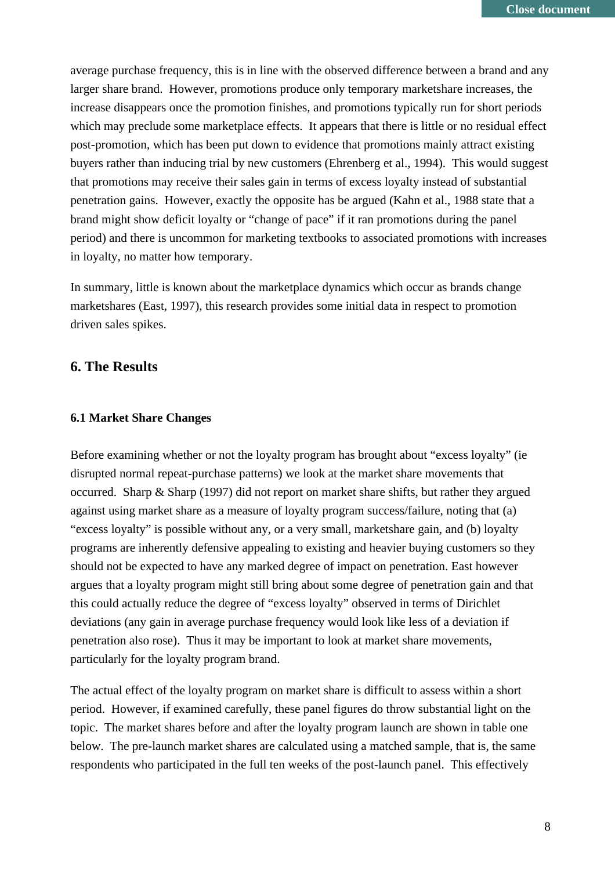average purchase frequency, this is in line with the observed difference between a brand and any larger share brand. However, promotions produce only temporary marketshare increases, the increase disappears once the promotion finishes, and promotions typically run for short periods which may preclude some marketplace effects. It appears that there is little or no residual effect post-promotion, which has been put down to evidence that promotions mainly attract existing buyers rather than inducing trial by new customers (Ehrenberg et al., 1994). This would suggest that promotions may receive their sales gain in terms of excess loyalty instead of substantial penetration gains. However, exactly the opposite has be argued (Kahn et al., 1988 state that a brand might show deficit loyalty or "change of pace" if it ran promotions during the panel period) and there is uncommon for marketing textbooks to associated promotions with increases in loyalty, no matter how temporary.

In summary, little is known about the marketplace dynamics which occur as brands change marketshares (East, 1997), this research provides some initial data in respect to promotion driven sales spikes.

#### **6. The Results**

#### **6.1 Market Share Changes**

Before examining whether or not the loyalty program has brought about "excess loyalty" (ie disrupted normal repeat-purchase patterns) we look at the market share movements that occurred. Sharp & Sharp (1997) did not report on market share shifts, but rather they argued against using market share as a measure of loyalty program success/failure, noting that (a) "excess loyalty" is possible without any, or a very small, marketshare gain, and (b) loyalty programs are inherently defensive appealing to existing and heavier buying customers so they should not be expected to have any marked degree of impact on penetration. East however argues that a loyalty program might still bring about some degree of penetration gain and that this could actually reduce the degree of "excess loyalty" observed in terms of Dirichlet deviations (any gain in average purchase frequency would look like less of a deviation if penetration also rose). Thus it may be important to look at market share movements, particularly for the loyalty program brand.

The actual effect of the loyalty program on market share is difficult to assess within a short period. However, if examined carefully, these panel figures do throw substantial light on the topic. The market shares before and after the loyalty program launch are shown in table one below. The pre-launch market shares are calculated using a matched sample, that is, the same respondents who participated in the full ten weeks of the post-launch panel. This effectively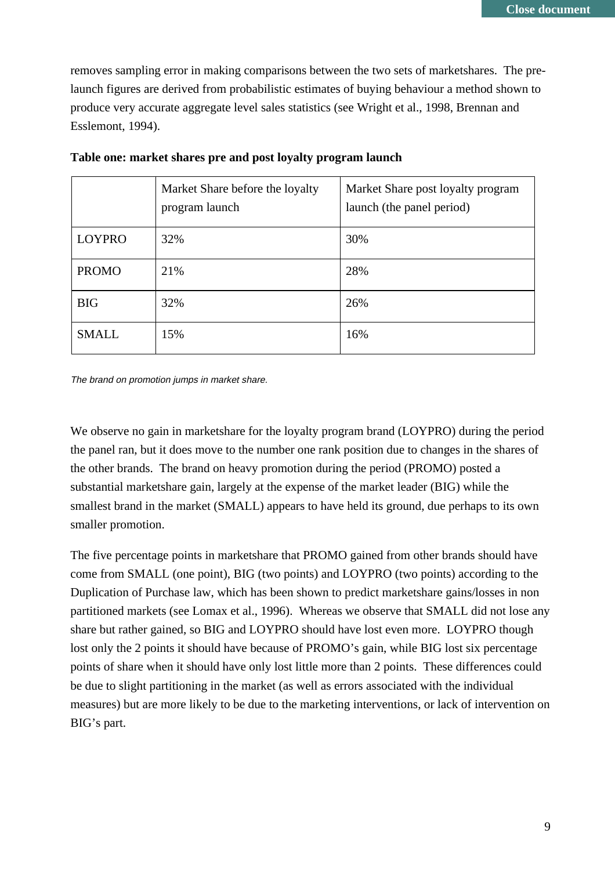removes sampling error in making comparisons between the two sets of marketshares. The prelaunch figures are derived from probabilistic estimates of buying behaviour a method shown to produce very accurate aggregate level sales statistics (see Wright et al., 1998, Brennan and Esslemont, 1994).

|               | Market Share before the loyalty<br>program launch | Market Share post loyalty program<br>launch (the panel period) |
|---------------|---------------------------------------------------|----------------------------------------------------------------|
| <b>LOYPRO</b> | 32%                                               | 30%                                                            |
| <b>PROMO</b>  | 21%                                               | 28%                                                            |
| <b>BIG</b>    | 32%                                               | 26%                                                            |
| <b>SMALL</b>  | 15%                                               | 16%                                                            |

**Table one: market shares pre and post loyalty program launch**

The brand on promotion jumps in market share.

We observe no gain in marketshare for the loyalty program brand (LOYPRO) during the period the panel ran, but it does move to the number one rank position due to changes in the shares of the other brands. The brand on heavy promotion during the period (PROMO) posted a substantial marketshare gain, largely at the expense of the market leader (BIG) while the smallest brand in the market (SMALL) appears to have held its ground, due perhaps to its own smaller promotion.

The five percentage points in marketshare that PROMO gained from other brands should have come from SMALL (one point), BIG (two points) and LOYPRO (two points) according to the Duplication of Purchase law, which has been shown to predict marketshare gains/losses in non partitioned markets (see Lomax et al., 1996). Whereas we observe that SMALL did not lose any share but rather gained, so BIG and LOYPRO should have lost even more. LOYPRO though lost only the 2 points it should have because of PROMO's gain, while BIG lost six percentage points of share when it should have only lost little more than 2 points. These differences could be due to slight partitioning in the market (as well as errors associated with the individual measures) but are more likely to be due to the marketing interventions, or lack of intervention on BIG's part.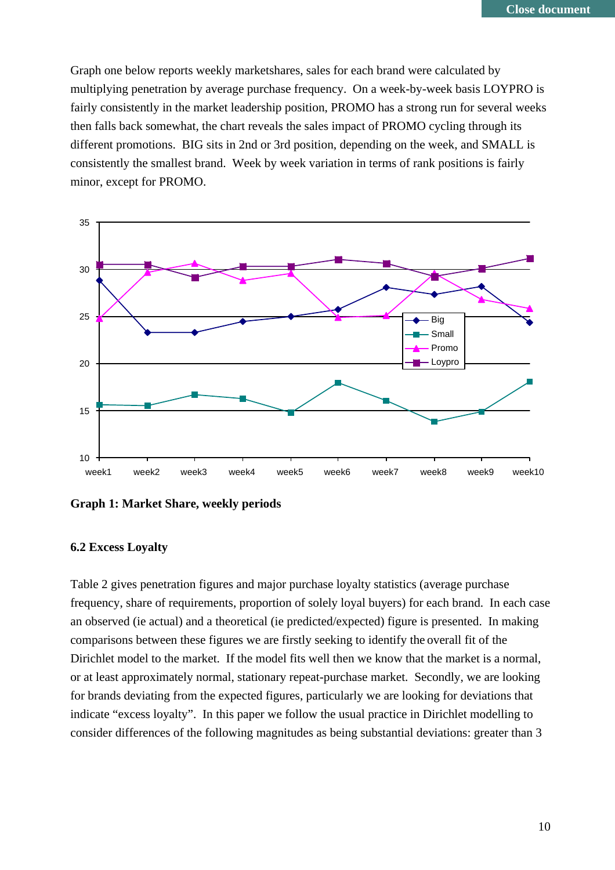Graph one below reports weekly marketshares, sales for each brand were calculated by multiplying penetration by average purchase frequency. On a week-by-week basis LOYPRO is fairly consistently in the market leadership position, PROMO has a strong run for several weeks then falls back somewhat, the chart reveals the sales impact of PROMO cycling through its different promotions. BIG sits in 2nd or 3rd position, depending on the week, and SMALL is consistently the smallest brand. Week by week variation in terms of rank positions is fairly minor, except for PROMO.



**Graph 1: Market Share, weekly periods**

#### **6.2 Excess Loyalty**

Table 2 gives penetration figures and major purchase loyalty statistics (average purchase frequency, share of requirements, proportion of solely loyal buyers) for each brand. In each case an observed (ie actual) and a theoretical (ie predicted/expected) figure is presented. In making comparisons between these figures we are firstly seeking to identify the overall fit of the Dirichlet model to the market. If the model fits well then we know that the market is a normal, or at least approximately normal, stationary repeat-purchase market. Secondly, we are looking for brands deviating from the expected figures, particularly we are looking for deviations that indicate "excess loyalty". In this paper we follow the usual practice in Dirichlet modelling to consider differences of the following magnitudes as being substantial deviations: greater than 3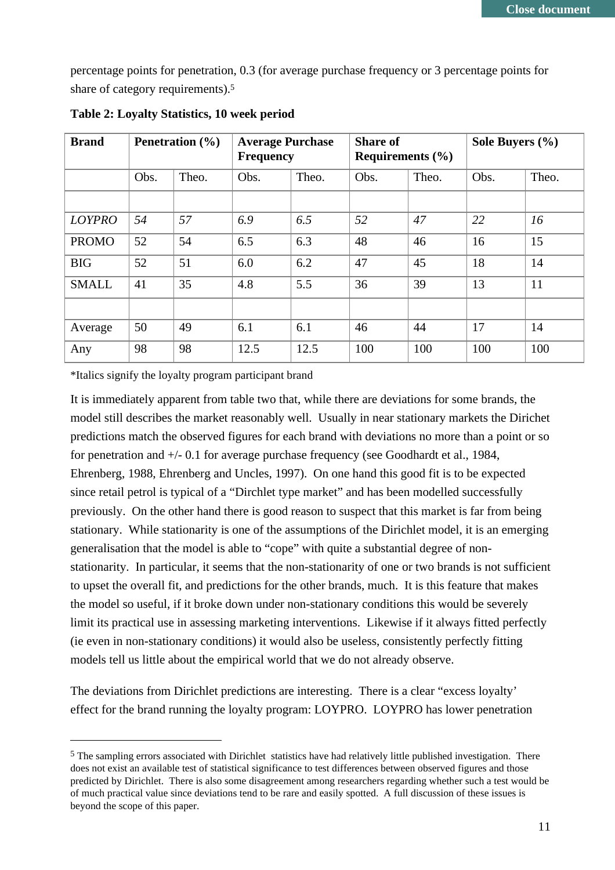percentage points for penetration, 0.3 (for average purchase frequency or 3 percentage points for share of category requirements).5

| <b>Brand</b>  | <b>Penetration</b> $(\% )$ |       | <b>Average Purchase</b><br><b>Frequency</b> |       | <b>Share of</b><br>Requirements $(\% )$ |       | Sole Buyers (%) |       |
|---------------|----------------------------|-------|---------------------------------------------|-------|-----------------------------------------|-------|-----------------|-------|
|               | Obs.                       | Theo. | Obs.                                        | Theo. | Obs.                                    | Theo. | Obs.            | Theo. |
|               |                            |       |                                             |       |                                         |       |                 |       |
| <b>LOYPRO</b> | 54                         | 57    | 6.9                                         | 6.5   | 52                                      | 47    | 22              | 16    |
| <b>PROMO</b>  | 52                         | 54    | 6.5                                         | 6.3   | 48                                      | 46    | 16              | 15    |
| <b>BIG</b>    | 52                         | 51    | 6.0                                         | 6.2   | 47                                      | 45    | 18              | 14    |
| <b>SMALL</b>  | 41                         | 35    | 4.8                                         | 5.5   | 36                                      | 39    | 13              | 11    |
|               |                            |       |                                             |       |                                         |       |                 |       |
| Average       | 50                         | 49    | 6.1                                         | 6.1   | 46                                      | 44    | 17              | 14    |
| Any           | 98                         | 98    | 12.5                                        | 12.5  | 100                                     | 100   | 100             | 100   |

**Table 2: Loyalty Statistics, 10 week period**

\*Italics signify the loyalty program participant brand

It is immediately apparent from table two that, while there are deviations for some brands, the model still describes the market reasonably well. Usually in near stationary markets the Dirichet predictions match the observed figures for each brand with deviations no more than a point or so for penetration and +/- 0.1 for average purchase frequency (see Goodhardt et al., 1984, Ehrenberg, 1988, Ehrenberg and Uncles, 1997). On one hand this good fit is to be expected since retail petrol is typical of a "Dirchlet type market" and has been modelled successfully previously. On the other hand there is good reason to suspect that this market is far from being stationary. While stationarity is one of the assumptions of the Dirichlet model, it is an emerging generalisation that the model is able to "cope" with quite a substantial degree of nonstationarity. In particular, it seems that the non-stationarity of one or two brands is not sufficient to upset the overall fit, and predictions for the other brands, much. It is this feature that makes the model so useful, if it broke down under non-stationary conditions this would be severely limit its practical use in assessing marketing interventions. Likewise if it always fitted perfectly (ie even in non-stationary conditions) it would also be useless, consistently perfectly fitting models tell us little about the empirical world that we do not already observe.

The deviations from Dirichlet predictions are interesting. There is a clear "excess loyalty' effect for the brand running the loyalty program: LOYPRO. LOYPRO has lower penetration

 <sup>5</sup> The sampling errors associated with Dirichlet statistics have had relatively little published investigation. There does not exist an available test of statistical significance to test differences between observed figures and those predicted by Dirichlet. There is also some disagreement among researchers regarding whether such a test would be of much practical value since deviations tend to be rare and easily spotted. A full discussion of these issues is beyond the scope of this paper.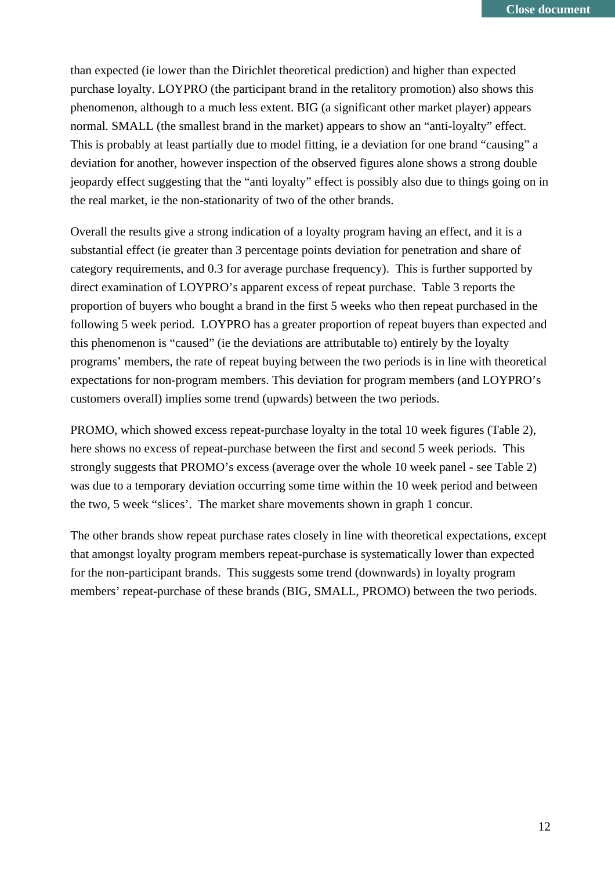than expected (ie lower than the Dirichlet theoretical prediction) and higher than expected purchase loyalty. LOYPRO (the participant brand in the retalitory promotion) also shows this phenomenon, although to a much less extent. BIG (a significant other market player) appears normal. SMALL (the smallest brand in the market) appears to show an "anti-loyalty" effect. This is probably at least partially due to model fitting, ie a deviation for one brand "causing" a deviation for another, however inspection of the observed figures alone shows a strong double jeopardy effect suggesting that the "anti loyalty" effect is possibly also due to things going on in the real market, ie the non-stationarity of two of the other brands.

Overall the results give a strong indication of a loyalty program having an effect, and it is a substantial effect (ie greater than 3 percentage points deviation for penetration and share of category requirements, and 0.3 for average purchase frequency). This is further supported by direct examination of LOYPRO's apparent excess of repeat purchase. Table 3 reports the proportion of buyers who bought a brand in the first 5 weeks who then repeat purchased in the following 5 week period. LOYPRO has a greater proportion of repeat buyers than expected and this phenomenon is "caused" (ie the deviations are attributable to) entirely by the loyalty programs' members, the rate of repeat buying between the two periods is in line with theoretical expectations for non-program members. This deviation for program members (and LOYPRO's customers overall) implies some trend (upwards) between the two periods.

PROMO, which showed excess repeat-purchase loyalty in the total 10 week figures (Table 2), here shows no excess of repeat-purchase between the first and second 5 week periods. This strongly suggests that PROMO's excess (average over the whole 10 week panel - see Table 2) was due to a temporary deviation occurring some time within the 10 week period and between the two, 5 week "slices'. The market share movements shown in graph 1 concur.

The other brands show repeat purchase rates closely in line with theoretical expectations, except that amongst loyalty program members repeat-purchase is systematically lower than expected for the non-participant brands. This suggests some trend (downwards) in loyalty program members' repeat-purchase of these brands (BIG, SMALL, PROMO) between the two periods.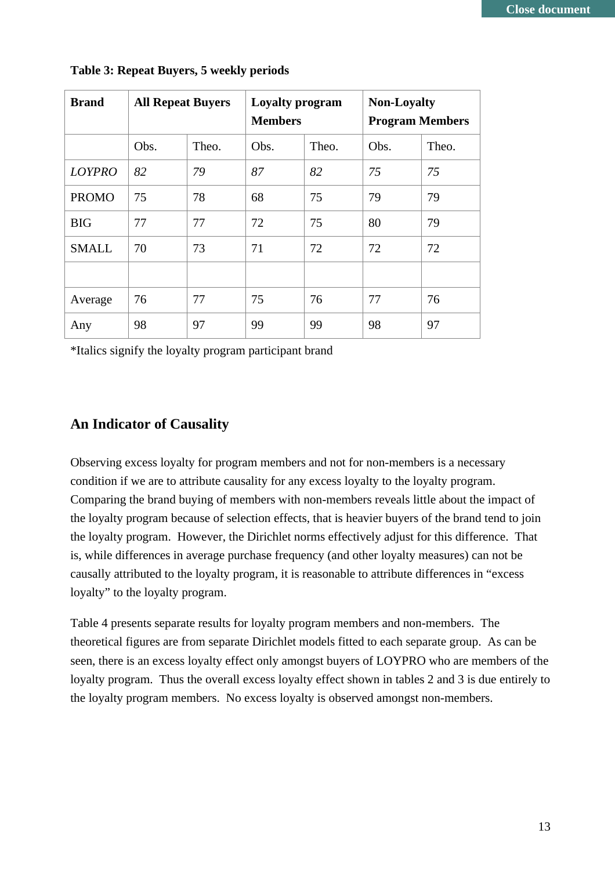| <b>Brand</b>  | <b>All Repeat Buyers</b> |       | <b>Loyalty program</b><br><b>Members</b> |       | <b>Non-Loyalty</b><br><b>Program Members</b> |       |
|---------------|--------------------------|-------|------------------------------------------|-------|----------------------------------------------|-------|
|               | Obs.                     | Theo. | Obs.                                     | Theo. | Obs.                                         | Theo. |
| <b>LOYPRO</b> | 82                       | 79    | 87                                       | 82    | 75                                           | 75    |
| <b>PROMO</b>  | 75                       | 78    | 68                                       | 75    | 79                                           | 79    |
| <b>BIG</b>    | 77                       | 77    | 72                                       | 75    | 80                                           | 79    |
| <b>SMALL</b>  | 70                       | 73    | 71                                       | 72    | 72                                           | 72    |
|               |                          |       |                                          |       |                                              |       |
| Average       | 76                       | 77    | 75                                       | 76    | 77                                           | 76    |
| Any           | 98                       | 97    | 99                                       | 99    | 98                                           | 97    |

#### **Table 3: Repeat Buyers, 5 weekly periods**

\*Italics signify the loyalty program participant brand

#### **An Indicator of Causality**

Observing excess loyalty for program members and not for non-members is a necessary condition if we are to attribute causality for any excess loyalty to the loyalty program. Comparing the brand buying of members with non-members reveals little about the impact of the loyalty program because of selection effects, that is heavier buyers of the brand tend to join the loyalty program. However, the Dirichlet norms effectively adjust for this difference. That is, while differences in average purchase frequency (and other loyalty measures) can not be causally attributed to the loyalty program, it is reasonable to attribute differences in "excess loyalty" to the loyalty program.

Table 4 presents separate results for loyalty program members and non-members. The theoretical figures are from separate Dirichlet models fitted to each separate group. As can be seen, there is an excess loyalty effect only amongst buyers of LOYPRO who are members of the loyalty program. Thus the overall excess loyalty effect shown in tables 2 and 3 is due entirely to the loyalty program members. No excess loyalty is observed amongst non-members.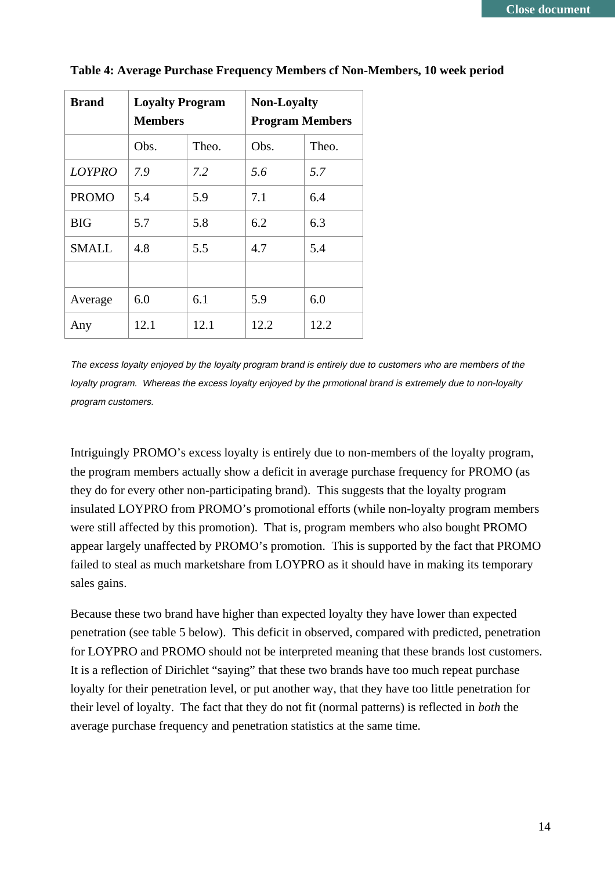| <b>Brand</b>  | <b>Loyalty Program</b><br><b>Members</b> |       | <b>Non-Loyalty</b><br><b>Program Members</b> |       |  |
|---------------|------------------------------------------|-------|----------------------------------------------|-------|--|
|               | Obs.                                     | Theo. | Obs.                                         | Theo. |  |
| <b>LOYPRO</b> | 7.9                                      | 7.2   | 5.6                                          | 5.7   |  |
| <b>PROMO</b>  | 5.4                                      | 5.9   | 7.1                                          | 6.4   |  |
| <b>BIG</b>    | 5.7                                      | 5.8   | 6.2                                          | 6.3   |  |
| <b>SMALL</b>  | 4.8                                      | 5.5   | 4.7                                          | 5.4   |  |
|               |                                          |       |                                              |       |  |
| Average       | 6.0                                      | 6.1   | 5.9                                          | 6.0   |  |
| Any           | 12.1                                     | 12.1  | 12.2                                         | 12.2  |  |

|  |  | Table 4: Average Purchase Frequency Members cf Non-Members, 10 week period |  |
|--|--|----------------------------------------------------------------------------|--|
|  |  |                                                                            |  |

The excess loyalty enjoyed by the loyalty program brand is entirely due to customers who are members of the loyalty program. Whereas the excess loyalty enjoyed by the prmotional brand is extremely due to non-loyalty program customers.

Intriguingly PROMO's excess loyalty is entirely due to non-members of the loyalty program, the program members actually show a deficit in average purchase frequency for PROMO (as they do for every other non-participating brand). This suggests that the loyalty program insulated LOYPRO from PROMO's promotional efforts (while non-loyalty program members were still affected by this promotion). That is, program members who also bought PROMO appear largely unaffected by PROMO's promotion. This is supported by the fact that PROMO failed to steal as much marketshare from LOYPRO as it should have in making its temporary sales gains.

Because these two brand have higher than expected loyalty they have lower than expected penetration (see table 5 below). This deficit in observed, compared with predicted, penetration for LOYPRO and PROMO should not be interpreted meaning that these brands lost customers. It is a reflection of Dirichlet "saying" that these two brands have too much repeat purchase loyalty for their penetration level, or put another way, that they have too little penetration for their level of loyalty. The fact that they do not fit (normal patterns) is reflected in *both* the average purchase frequency and penetration statistics at the same time.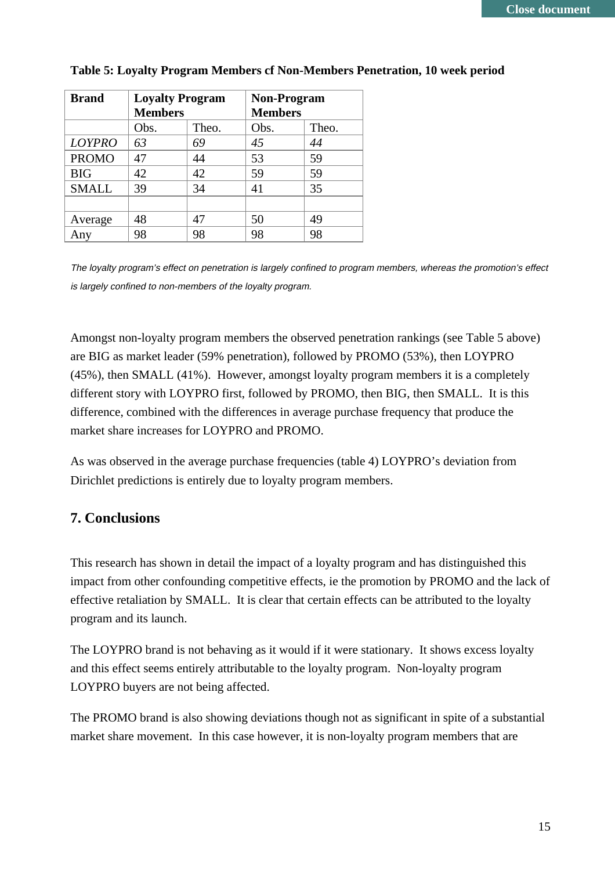| <b>Brand</b>  | <b>Loyalty Program</b> |       | <b>Non-Program</b> |       |  |
|---------------|------------------------|-------|--------------------|-------|--|
|               | <b>Members</b>         |       | <b>Members</b>     |       |  |
|               | Obs.                   | Theo. | Obs.               | Theo. |  |
| <b>LOYPRO</b> | 63                     | 69    | 45                 | 44    |  |
| <b>PROMO</b>  | 47                     | 44    | 53                 | 59    |  |
| <b>BIG</b>    | 42                     | 42    | 59                 | 59    |  |
| <b>SMALL</b>  | 39                     | 34    | 41                 | 35    |  |
|               |                        |       |                    |       |  |
| Average       | 48                     | 47    | 50                 | 49    |  |
| Any           | 98                     | 98    | 98                 | 98    |  |

#### **Table 5: Loyalty Program Members cf Non-Members Penetration, 10 week period**

The loyalty program's effect on penetration is largely confined to program members, whereas the promotion's effect is largely confined to non-members of the loyalty program.

Amongst non-loyalty program members the observed penetration rankings (see Table 5 above) are BIG as market leader (59% penetration), followed by PROMO (53%), then LOYPRO (45%), then SMALL (41%). However, amongst loyalty program members it is a completely different story with LOYPRO first, followed by PROMO, then BIG, then SMALL. It is this difference, combined with the differences in average purchase frequency that produce the market share increases for LOYPRO and PROMO.

As was observed in the average purchase frequencies (table 4) LOYPRO's deviation from Dirichlet predictions is entirely due to loyalty program members.

## **7. Conclusions**

This research has shown in detail the impact of a loyalty program and has distinguished this impact from other confounding competitive effects, ie the promotion by PROMO and the lack of effective retaliation by SMALL. It is clear that certain effects can be attributed to the loyalty program and its launch.

The LOYPRO brand is not behaving as it would if it were stationary. It shows excess loyalty and this effect seems entirely attributable to the loyalty program. Non-loyalty program LOYPRO buyers are not being affected.

The PROMO brand is also showing deviations though not as significant in spite of a substantial market share movement. In this case however, it is non-loyalty program members that are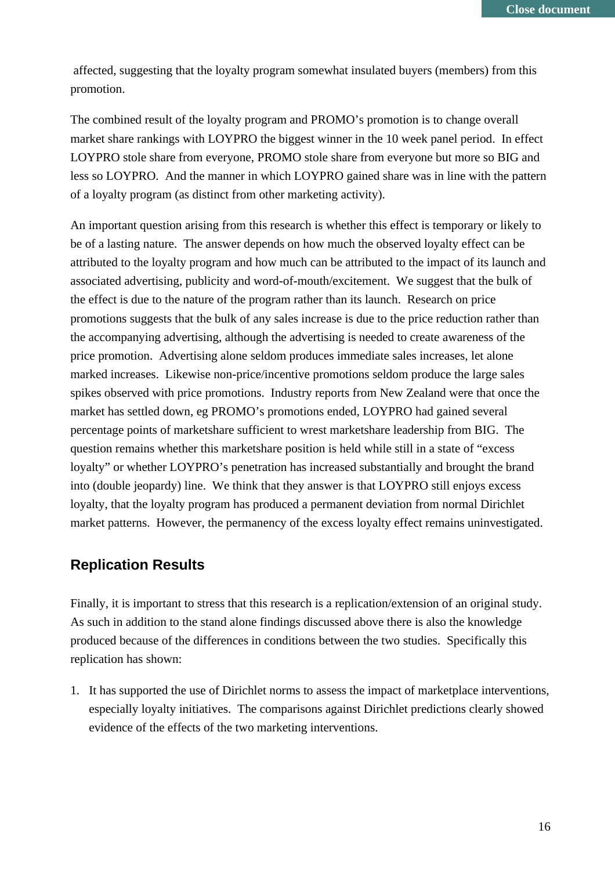affected, suggesting that the loyalty program somewhat insulated buyers (members) from this promotion.

The combined result of the loyalty program and PROMO's promotion is to change overall market share rankings with LOYPRO the biggest winner in the 10 week panel period. In effect LOYPRO stole share from everyone, PROMO stole share from everyone but more so BIG and less so LOYPRO. And the manner in which LOYPRO gained share was in line with the pattern of a loyalty program (as distinct from other marketing activity).

An important question arising from this research is whether this effect is temporary or likely to be of a lasting nature. The answer depends on how much the observed loyalty effect can be attributed to the loyalty program and how much can be attributed to the impact of its launch and associated advertising, publicity and word-of-mouth/excitement. We suggest that the bulk of the effect is due to the nature of the program rather than its launch. Research on price promotions suggests that the bulk of any sales increase is due to the price reduction rather than the accompanying advertising, although the advertising is needed to create awareness of the price promotion. Advertising alone seldom produces immediate sales increases, let alone marked increases. Likewise non-price/incentive promotions seldom produce the large sales spikes observed with price promotions. Industry reports from New Zealand were that once the market has settled down, eg PROMO's promotions ended, LOYPRO had gained several percentage points of marketshare sufficient to wrest marketshare leadership from BIG. The question remains whether this marketshare position is held while still in a state of "excess loyalty" or whether LOYPRO's penetration has increased substantially and brought the brand into (double jeopardy) line. We think that they answer is that LOYPRO still enjoys excess loyalty, that the loyalty program has produced a permanent deviation from normal Dirichlet market patterns. However, the permanency of the excess loyalty effect remains uninvestigated.

## **Replication Results**

Finally, it is important to stress that this research is a replication/extension of an original study. As such in addition to the stand alone findings discussed above there is also the knowledge produced because of the differences in conditions between the two studies. Specifically this replication has shown:

1. It has supported the use of Dirichlet norms to assess the impact of marketplace interventions, especially loyalty initiatives. The comparisons against Dirichlet predictions clearly showed evidence of the effects of the two marketing interventions.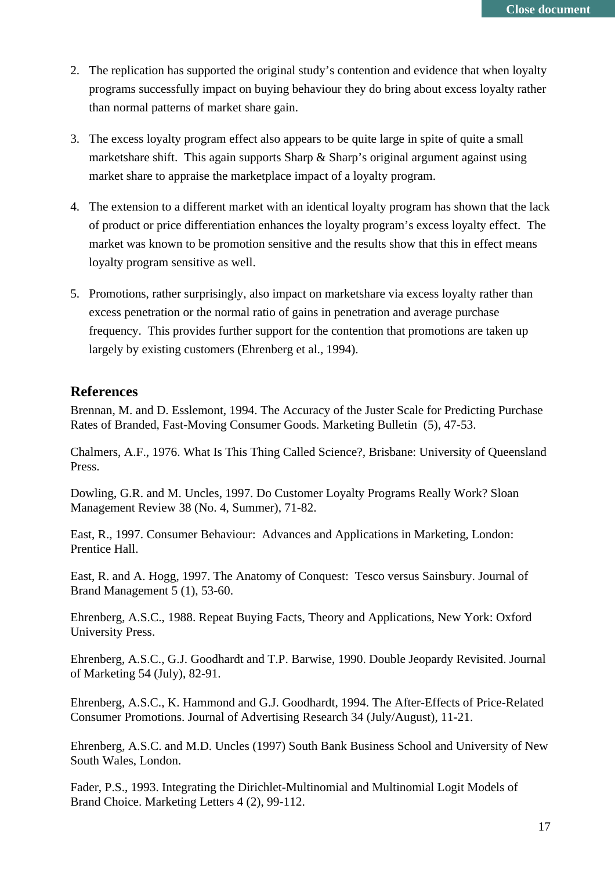- 2. The replication has supported the original study's contention and evidence that when loyalty programs successfully impact on buying behaviour they do bring about excess loyalty rather than normal patterns of market share gain.
- 3. The excess loyalty program effect also appears to be quite large in spite of quite a small marketshare shift. This again supports Sharp & Sharp's original argument against using market share to appraise the marketplace impact of a loyalty program.
- 4. The extension to a different market with an identical loyalty program has shown that the lack of product or price differentiation enhances the loyalty program's excess loyalty effect. The market was known to be promotion sensitive and the results show that this in effect means loyalty program sensitive as well.
- 5. Promotions, rather surprisingly, also impact on marketshare via excess loyalty rather than excess penetration or the normal ratio of gains in penetration and average purchase frequency. This provides further support for the contention that promotions are taken up largely by existing customers (Ehrenberg et al., 1994).

#### **References**

Brennan, M. and D. Esslemont, 1994. The Accuracy of the Juster Scale for Predicting Purchase Rates of Branded, Fast-Moving Consumer Goods. Marketing Bulletin (5), 47-53.

Chalmers, A.F., 1976. What Is This Thing Called Science?*,* Brisbane: University of Queensland Press.

Dowling, G.R. and M. Uncles, 1997. Do Customer Loyalty Programs Really Work? Sloan Management Review 38 (No. 4, Summer), 71-82.

East, R., 1997. Consumer Behaviour: Advances and Applications in Marketing*,* London: Prentice Hall.

East, R. and A. Hogg, 1997. The Anatomy of Conquest: Tesco versus Sainsbury. Journal of Brand Management 5 (1), 53-60.

Ehrenberg, A.S.C., 1988. Repeat Buying Facts, Theory and Applications*,* New York: Oxford University Press.

Ehrenberg, A.S.C., G.J. Goodhardt and T.P. Barwise, 1990. Double Jeopardy Revisited. Journal of Marketing 54 (July), 82-91.

Ehrenberg, A.S.C., K. Hammond and G.J. Goodhardt, 1994. The After-Effects of Price-Related Consumer Promotions. Journal of Advertising Research 34 (July/August), 11-21.

Ehrenberg, A.S.C. and M.D. Uncles (1997) South Bank Business School and University of New South Wales, London.

Fader, P.S., 1993. Integrating the Dirichlet-Multinomial and Multinomial Logit Models of Brand Choice. Marketing Letters 4 (2), 99-112.